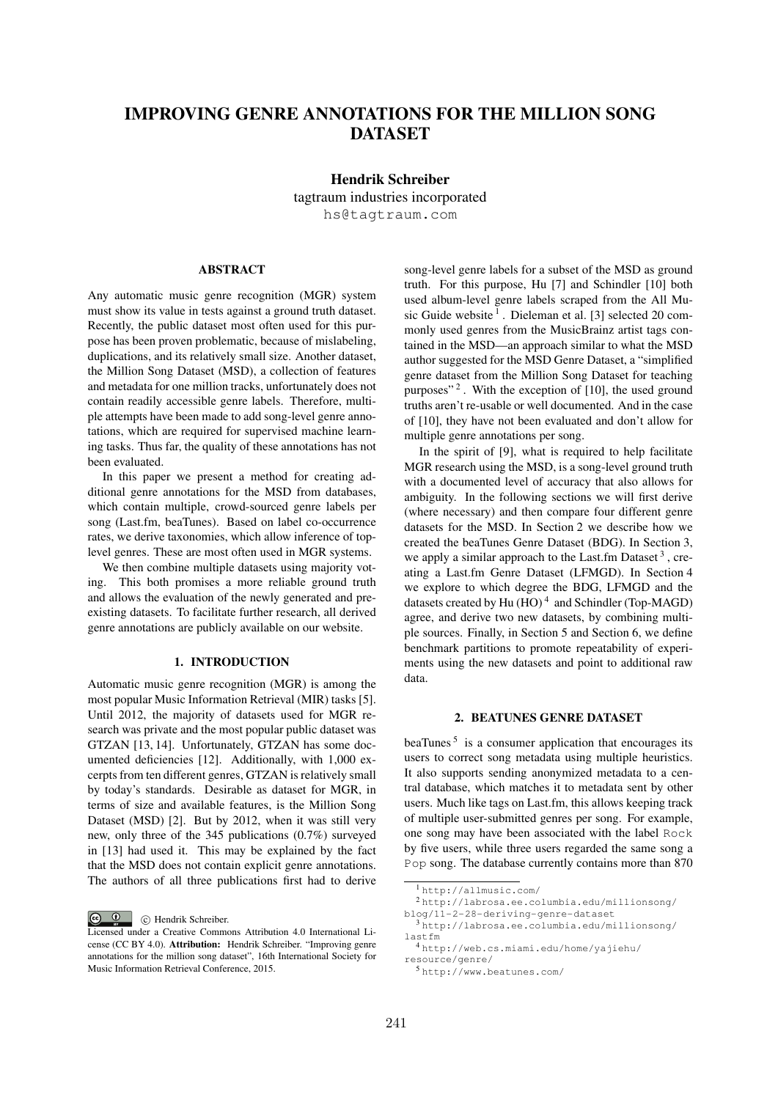# IMPROVING GENRE ANNOTATIONS FOR THE MILLION SONG DATASET

Hendrik Schreiber tagtraum industries incorporated hs@tagtraum.com

# **ABSTRACT**

Any automatic music genre recognition (MGR) system must show its value in tests against a ground truth dataset. Recently, the public dataset most often used for this purpose has been proven problematic, because of mislabeling, duplications, and its relatively small size. Another dataset, the Million Song Dataset (MSD), a collection of features and metadata for one million tracks, unfortunately does not contain readily accessible genre labels. Therefore, multiple attempts have been made to add song-level genre annotations, which are required for supervised machine learning tasks. Thus far, the quality of these annotations has not been evaluated.

In this paper we present a method for creating additional genre annotations for the MSD from databases, which contain multiple, crowd-sourced genre labels per song (Last.fm, beaTunes). Based on label co-occurrence rates, we derive taxonomies, which allow inference of toplevel genres. These are most often used in MGR systems.

We then combine multiple datasets using majority voting. This both promises a more reliable ground truth and allows the evaluation of the newly generated and preexisting datasets. To facilitate further research, all derived genre annotations are publicly available on our website.

# 1. INTRODUCTION

Automatic music genre recognition (MGR) is among the most popular Music Information Retrieval (MIR) tasks [5]. Until 2012, the majority of datasets used for MGR research was private and the most popular public dataset was GTZAN [13, 14]. Unfortunately, GTZAN has some documented deficiencies [12]. Additionally, with 1,000 excerpts from ten different genres, GTZAN is relatively small by today's standards. Desirable as dataset for MGR, in terms of size and available features, is the Million Song Dataset (MSD) [2]. But by 2012, when it was still very new, only three of the 345 publications (0.7%) surveyed in [13] had used it. This may be explained by the fact that the MSD does not contain explicit genre annotations. The authors of all three publications first had to derive

C Hendrik Schreiber.

song-level genre labels for a subset of the MSD as ground truth. For this purpose, Hu [7] and Schindler [10] both used album-level genre labels scraped from the All Music Guide website<sup>1</sup>. Dieleman et al. [3] selected 20 commonly used genres from the MusicBrainz artist tags contained in the MSD—an approach similar to what the MSD author suggested for the MSD Genre Dataset, a "simplified genre dataset from the Million Song Dataset for teaching purposes"<sup>2</sup>. With the exception of  $[10]$ , the used ground truths aren't re-usable or well documented. And in the case of [10], they have not been evaluated and don't allow for multiple genre annotations per song.

In the spirit of [9], what is required to help facilitate MGR research using the MSD, is a song-level ground truth with a documented level of accuracy that also allows for ambiguity. In the following sections we will first derive (where necessary) and then compare four different genre datasets for the MSD. In Section 2 we describe how we created the beaTunes Genre Dataset (BDG). In Section 3, we apply a similar approach to the Last.fm Dataset  $3$ , creating a Last.fm Genre Dataset (LFMGD). In Section 4 we explore to which degree the BDG, LFMGD and the datasets created by Hu (HO)<sup>4</sup> and Schindler (Top-MAGD) agree, and derive two new datasets, by combining multiple sources. Finally, in Section 5 and Section 6, we define benchmark partitions to promote repeatability of experiments using the new datasets and point to additional raw data.

# 2. BEATUNES GENRE DATASET

 $beaTunes<sup>5</sup>$  is a consumer application that encourages its users to correct song metadata using multiple heuristics. It also supports sending anonymized metadata to a central database, which matches it to metadata sent by other users. Much like tags on Last.fm, this allows keeping track of multiple user-submitted genres per song. For example, one song may have been associated with the label Rock by five users, while three users regarded the same song a Pop song. The database currently contains more than 870

Licensed under a Creative Commons Attribution 4.0 International License (CC BY 4.0). Attribution: Hendrik Schreiber. "Improving genre annotations for the million song dataset", 16th International Society for Music Information Retrieval Conference, 2015.

<sup>1</sup> http://allmusic.com/

<sup>2</sup> http://labrosa.ee.columbia.edu/millionsong/

blog/11-2-28-deriving-genre-dataset

<sup>3</sup> http://labrosa.ee.columbia.edu/millionsong/ lastfm

<sup>4</sup> http://web.cs.miami.edu/home/yajiehu/ resource/genre/

<sup>5</sup> http://www.beatunes.com/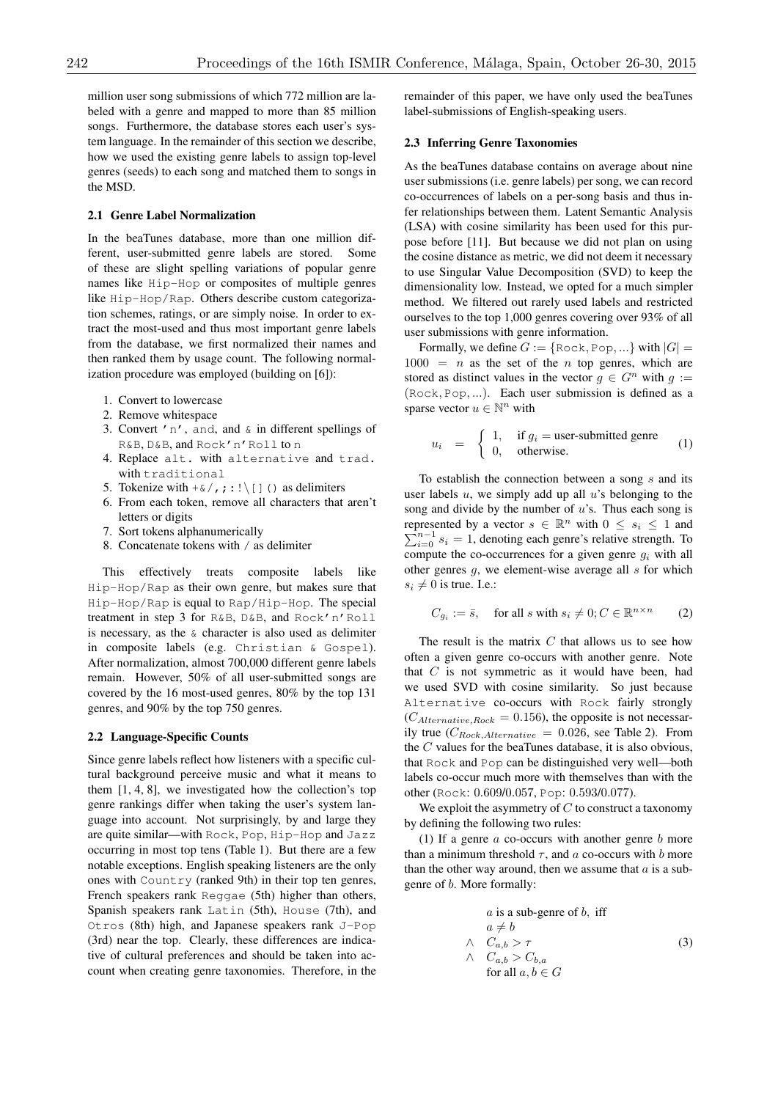million user song submissions of which 772 million are labeled with a genre and mapped to more than 85 million songs. Furthermore, the database stores each user's system language. In the remainder of this section we describe, how we used the existing genre labels to assign top-level genres (seeds) to each song and matched them to songs in the MSD.

#### 2.1 Genre Label Normalization

In the beaTunes database, more than one million different, user-submitted genre labels are stored. Some of these are slight spelling variations of popular genre names like Hip-Hop or composites of multiple genres like Hip-Hop/Rap. Others describe custom categorization schemes, ratings, or are simply noise. In order to extract the most-used and thus most important genre labels from the database, we first normalized their names and then ranked them by usage count. The following normalization procedure was employed (building on [6]):

- 1. Convert to lowercase
- 2. Remove whitespace
- 3. Convert  $'n'$ , and, and  $\&$  in different spellings of R&B, D&B, and Rock'n'Roll to n
- 4. Replace alt. with alternative and trad. with traditional
- 5. Tokenize with  $+\infty$ , ;:! \[]() as delimiters
- 6. From each token, remove all characters that aren't letters or digits
- 7. Sort tokens alphanumerically
- 8. Concatenate tokens with / as delimiter

This effectively treats composite labels like Hip-Hop/Rap as their own genre, but makes sure that Hip-Hop/Rap is equal to Rap/Hip-Hop. The special treatment in step 3 for R&B, D&B, and Rock'n'Roll is necessary, as the & character is also used as delimiter in composite labels (e.g. Christian & Gospel). After normalization, almost 700,000 different genre labels remain. However, 50% of all user-submitted songs are covered by the 16 most-used genres, 80% by the top 131 genres, and 90% by the top 750 genres.

## 2.2 Language-Specific Counts

Since genre labels reflect how listeners with a specific cultural background perceive music and what it means to them [1, 4, 8], we investigated how the collection's top genre rankings differ when taking the user's system language into account. Not surprisingly, by and large they are quite similar—with Rock, Pop, Hip-Hop and Jazz occurring in most top tens (Table 1). But there are a few notable exceptions. English speaking listeners are the only ones with Country (ranked 9th) in their top ten genres, French speakers rank Reggae (5th) higher than others, Spanish speakers rank Latin (5th), House (7th), and Otros (8th) high, and Japanese speakers rank J-Pop (3rd) near the top. Clearly, these differences are indicative of cultural preferences and should be taken into account when creating genre taxonomies. Therefore, in the remainder of this paper, we have only used the beaTunes label-submissions of English-speaking users.

## 2.3 Inferring Genre Taxonomies

As the beaTunes database contains on average about nine user submissions (i.e. genre labels) per song, we can record co-occurrences of labels on a per-song basis and thus infer relationships between them. Latent Semantic Analysis (LSA) with cosine similarity has been used for this purpose before [11]. But because we did not plan on using the cosine distance as metric, we did not deem it necessary to use Singular Value Decomposition (SVD) to keep the dimensionality low. Instead, we opted for a much simpler method. We filtered out rarely used labels and restricted ourselves to the top 1,000 genres covering over 93% of all user submissions with genre information.

Formally, we define  $G := \{ \text{Rock}, \text{Pop}, \ldots \}$  with  $|G| =$  $1000 = n$  as the set of the *n* top genres, which are stored as distinct values in the vector  $g \in G^n$  with  $q :=$ (Rock*,* Pop*, ...*). Each user submission is defined as a sparse vector  $u \in \mathbb{N}^n$  with

$$
u_i = \begin{cases} 1, & \text{if } g_i = \text{user-submitted genre} \\ 0, & \text{otherwise.} \end{cases}
$$
 (1)

To establish the connection between a song *s* and its user labels *u*, we simply add up all *u*'s belonging to the song and divide by the number of *u*'s. Thus each song is represented by a vector  $s \in \mathbb{R}^n$  with  $0 \leq s_i \leq 1$  and represented by a vector  $s \in \mathbb{R}^n$  with  $0 \le s_i \le 1$  and  $\sum_{i=0}^{n-1} s_i = 1$ , denoting each genre's relative strength. To compute the co-occurrences for a given genre *g<sup>i</sup>* with all other genres *g*, we element-wise average all *s* for which  $s_i \neq 0$  is true. I.e.:

$$
C_{g_i} := \bar{s}, \quad \text{for all } s \text{ with } s_i \neq 0; C \in \mathbb{R}^{n \times n} \tag{2}
$$

The result is the matrix *C* that allows us to see how often a given genre co-occurs with another genre. Note that *C* is not symmetric as it would have been, had we used SVD with cosine similarity. So just because Alternative co-occurs with Rock fairly strongly  $(C_{Alternate, Rock} = 0.156)$ , the opposite is not necessarily true  $(C_{Rock, Alternative} = 0.026$ , see Table 2). From the *C* values for the beaTunes database, it is also obvious, that Rock and Pop can be distinguished very well—both labels co-occur much more with themselves than with the other (Rock: 0*.*609/0*.*057, Pop: 0*.*593/0*.*077).

We exploit the asymmetry of *C* to construct a taxonomy by defining the following two rules:

(1) If a genre *a* co-occurs with another genre *b* more than a minimum threshold  $\tau$ , and  $\alpha$  co-occurs with  $\beta$  more than the other way around, then we assume that *a* is a subgenre of *b*. More formally:

$$
a \text{ is a sub-genre of } b, \text{ iff}
$$
\n
$$
a \neq b
$$
\n
$$
\land \quad C_{a,b} > \tau
$$
\n
$$
\land \quad C_{a,b} > C_{b,a}
$$
\n
$$
\text{for all } a, b \in G
$$
\n
$$
(3)
$$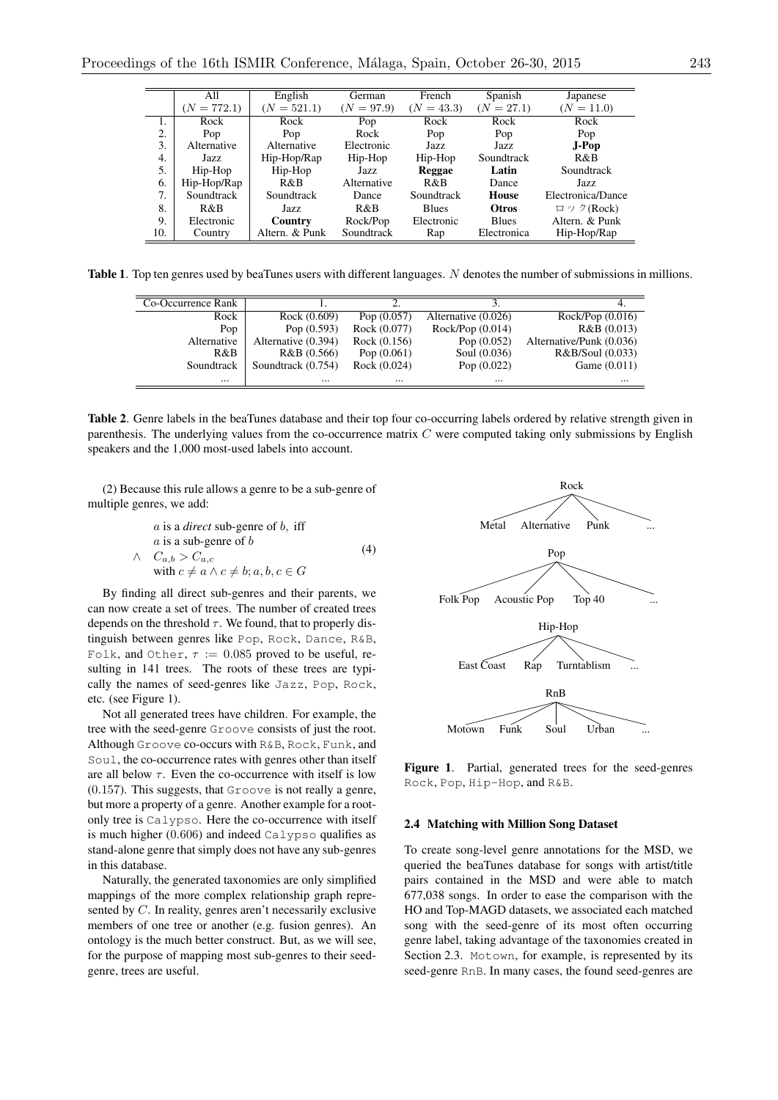|     | All            | English                   |              | French<br>German |              | Japanese          |  |
|-----|----------------|---------------------------|--------------|------------------|--------------|-------------------|--|
|     | $= 772.1$<br>N | $(N = 521.1)$             | $(N = 97.9)$ | $(N = 43.3)$     | $(N = 27.1)$ | $(N = 11.0)$      |  |
| 1.  | Rock           | Rock                      | Pop          | Rock             | Rock         | Rock              |  |
| 2.  | Pop            | Pop                       | Rock         | Pop              | Pop          | Pop               |  |
| 3.  | Alternative    | Electronic<br>Alternative |              | Jazz.            | Jazz         | $J-Pop$           |  |
| 4.  | Jazz.          | Hip-Hop/Rap               | Hip-Hop      | Hip-Hop          | Soundtrack   | R&B               |  |
| 5.  | Hip-Hop        | Hip-Hop                   | Jazz         | Reggae           | Latin        | Soundtrack        |  |
| 6.  | Hip-Hop/Rap    | R&B                       | Alternative  | R&B              | Dance        | Jazz.             |  |
| 7.  | Soundtrack     | Soundtrack                | Dance        | Soundtrack       | House        | Electronica/Dance |  |
| 8.  | R&B            | Jazz.                     | R&B          | <b>Blues</b>     | <b>Otros</b> | ロック( $Rock$ )     |  |
| 9.  | Electronic     | Country                   | Rock/Pop     | Electronic       | <b>Blues</b> | Altern. & Punk    |  |
| 10. | Country        | Altern. & Punk            | Soundtrack   | Rap              | Electronica  | Hip-Hop/Rap       |  |

Table 1. Top ten genres used by beaTunes users with different languages. *N* denotes the number of submissions in millions.

| Co-Occurrence Rank |                     |                |                     |                          |
|--------------------|---------------------|----------------|---------------------|--------------------------|
| Rock               | Rock (0.609)        | Pop $(0.057)$  | Alternative (0.026) | Rock/Pop (0.016)         |
| Pop                | Pop $(0.593)$       | Rock (0.077)   | $Rock/Pop$ (0.014)  | R&B(0.013)               |
| Alternative        | Alternative (0.394) | Rock $(0.156)$ | Pop $(0.052)$       | Alternative/Punk (0.036) |
| R&B                | R&B(0.566)          | Pop $(0.061)$  | Soul (0.036)        | R&B/Soul (0.033)         |
| Soundtrack         | Soundtrack (0.754)  | Rock (0.024)   | Pop $(0.022)$       | Game $(0.011)$           |
| $\cdots$           | $\cdots$            | $\cdots$       | $\cdots$            | $\cdots$                 |

Table 2. Genre labels in the beaTunes database and their top four co-occurring labels ordered by relative strength given in parenthesis. The underlying values from the co-occurrence matrix *C* were computed taking only submissions by English speakers and the 1,000 most-used labels into account.

(2) Because this rule allows a genre to be a sub-genre of multiple genres, we add:

*a* is a *direct* sub-genre of *b*, iff  
\n*a* is a sub-genre of *b*  
\n
$$
\land \quad C_{a,b} > C_{a,c}
$$
\nwith  $c \neq a \land c \neq b; a, b, c \in G$  (4)

By finding all direct sub-genres and their parents, we can now create a set of trees. The number of created trees depends on the threshold  $\tau$ . We found, that to properly distinguish between genres like Pop, Rock, Dance, R&B, Folk, and Other,  $\tau := 0.085$  proved to be useful, resulting in 141 trees. The roots of these trees are typically the names of seed-genres like Jazz, Pop, Rock, etc. (see Figure 1).

Not all generated trees have children. For example, the tree with the seed-genre Groove consists of just the root. Although Groove co-occurs with R&B, Rock, Funk, and Soul, the co-occurrence rates with genres other than itself are all below  $\tau$ . Even the co-occurrence with itself is low (0*.*157). This suggests, that Groove is not really a genre, but more a property of a genre. Another example for a rootonly tree is Calypso. Here the co-occurrence with itself is much higher (0*.*606) and indeed Calypso qualifies as stand-alone genre that simply does not have any sub-genres in this database.

Naturally, the generated taxonomies are only simplified mappings of the more complex relationship graph represented by *C*. In reality, genres aren't necessarily exclusive members of one tree or another (e.g. fusion genres). An ontology is the much better construct. But, as we will see, for the purpose of mapping most sub-genres to their seedgenre, trees are useful.



Figure 1. Partial, generated trees for the seed-genres Rock, Pop, Hip-Hop, and R&B.

## 2.4 Matching with Million Song Dataset

To create song-level genre annotations for the MSD, we queried the beaTunes database for songs with artist/title pairs contained in the MSD and were able to match 677,038 songs. In order to ease the comparison with the HO and Top-MAGD datasets, we associated each matched song with the seed-genre of its most often occurring genre label, taking advantage of the taxonomies created in Section 2.3. Motown, for example, is represented by its seed-genre RnB. In many cases, the found seed-genres are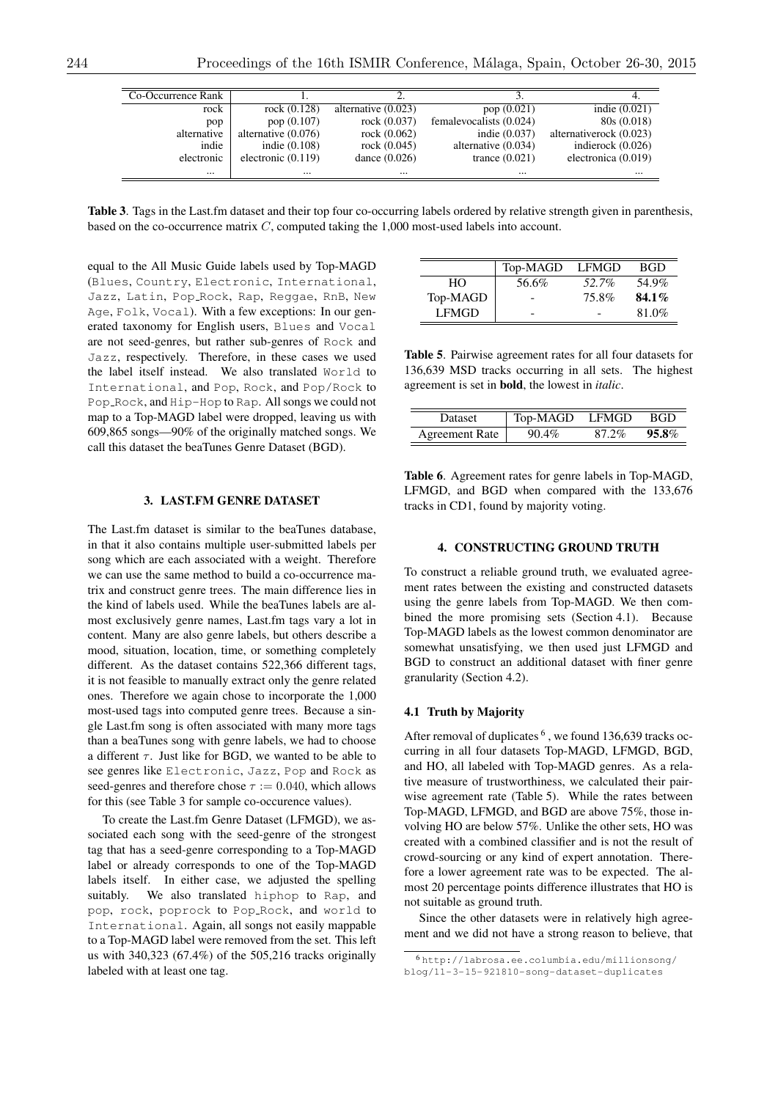| Co-Occurrence Rank |                       |                       |                         |                         |
|--------------------|-----------------------|-----------------------|-------------------------|-------------------------|
| rock               | rock $(0.128)$        | alternative $(0.023)$ | pop $(0.021)$           | indie $(0.021)$         |
| pop                | pop $(0.107)$         | rock $(0.037)$        | femalevocalists (0.024) | 80s (0.018)             |
| alternative        | alternative $(0.076)$ | rock $(0.062)$        | indie $(0.037)$         | alternativerock (0.023) |
| indie              | indie $(0.108)$       | rock $(0.045)$        | alternative $(0.034)$   | indierock $(0.026)$     |
| electronic         | electronic $(0.119)$  | dance $(0.026)$       | trance $(0.021)$        | electronica (0.019)     |
|                    |                       | $\cdots$              | $\cdots$                |                         |

Table 3. Tags in the Last.fm dataset and their top four co-occurring labels ordered by relative strength given in parenthesis, based on the co-occurrence matrix *C*, computed taking the 1,000 most-used labels into account.

equal to the All Music Guide labels used by Top-MAGD (Blues, Country, Electronic, International, Jazz, Latin, Pop Rock, Rap, Reggae, RnB, New Age, Folk, Vocal). With a few exceptions: In our generated taxonomy for English users, Blues and Vocal are not seed-genres, but rather sub-genres of Rock and Jazz, respectively. Therefore, in these cases we used the label itself instead. We also translated World to International, and Pop, Rock, and Pop/Rock to Pop Rock, and Hip-Hop to Rap. All songs we could not map to a Top-MAGD label were dropped, leaving us with 609,865 songs—90% of the originally matched songs. We call this dataset the beaTunes Genre Dataset (BGD).

# 3. LAST.FM GENRE DATASET

The Last.fm dataset is similar to the beaTunes database, in that it also contains multiple user-submitted labels per song which are each associated with a weight. Therefore we can use the same method to build a co-occurrence matrix and construct genre trees. The main difference lies in the kind of labels used. While the beaTunes labels are almost exclusively genre names, Last.fm tags vary a lot in content. Many are also genre labels, but others describe a mood, situation, location, time, or something completely different. As the dataset contains 522,366 different tags, it is not feasible to manually extract only the genre related ones. Therefore we again chose to incorporate the 1,000 most-used tags into computed genre trees. Because a single Last.fm song is often associated with many more tags than a beaTunes song with genre labels, we had to choose a different  $\tau$ . Just like for BGD, we wanted to be able to see genres like Electronic, Jazz, Pop and Rock as seed-genres and therefore chose  $\tau := 0.040$ , which allows for this (see Table 3 for sample co-occurence values).

To create the Last.fm Genre Dataset (LFMGD), we associated each song with the seed-genre of the strongest tag that has a seed-genre corresponding to a Top-MAGD label or already corresponds to one of the Top-MAGD labels itself. In either case, we adjusted the spelling suitably. We also translated hiphop to Rap, and pop, rock, poprock to Pop Rock, and world to International. Again, all songs not easily mappable to a Top-MAGD label were removed from the set. This left us with 340,323 (67.4%) of the 505,216 tracks originally labeled with at least one tag.

|              | Top-MAGD | LFMGD | <b>BGD</b> |
|--------------|----------|-------|------------|
| HΟ           | 56.6%    | 52.7% | 54.9%      |
| Top-MAGD     |          | 75.8% | $84.1\%$   |
| <b>LFMGD</b> |          |       | 81.0%      |

Table 5. Pairwise agreement rates for all four datasets for 136,639 MSD tracks occurring in all sets. The highest agreement is set in bold, the lowest in *italic*.

| Dataset               | Top-MAGD LFMGD |          | - BGD    |  |  |
|-----------------------|----------------|----------|----------|--|--|
| <b>Agreement Rate</b> | $90.4\%$       | $87.2\%$ | $95.8\%$ |  |  |

Table 6. Agreement rates for genre labels in Top-MAGD, LFMGD, and BGD when compared with the 133,676 tracks in CD1, found by majority voting.

### 4. CONSTRUCTING GROUND TRUTH

To construct a reliable ground truth, we evaluated agreement rates between the existing and constructed datasets using the genre labels from Top-MAGD. We then combined the more promising sets (Section 4.1). Because Top-MAGD labels as the lowest common denominator are somewhat unsatisfying, we then used just LFMGD and BGD to construct an additional dataset with finer genre granularity (Section 4.2).

# 4.1 Truth by Majority

After removal of duplicates  $6$ , we found 136,639 tracks occurring in all four datasets Top-MAGD, LFMGD, BGD, and HO, all labeled with Top-MAGD genres. As a relative measure of trustworthiness, we calculated their pairwise agreement rate (Table 5). While the rates between Top-MAGD, LFMGD, and BGD are above 75%, those involving HO are below 57%. Unlike the other sets, HO was created with a combined classifier and is not the result of crowd-sourcing or any kind of expert annotation. Therefore a lower agreement rate was to be expected. The almost 20 percentage points difference illustrates that HO is not suitable as ground truth.

Since the other datasets were in relatively high agreement and we did not have a strong reason to believe, that

<sup>6</sup> http://labrosa.ee.columbia.edu/millionsong/ blog/11-3-15-921810-song-dataset-duplicates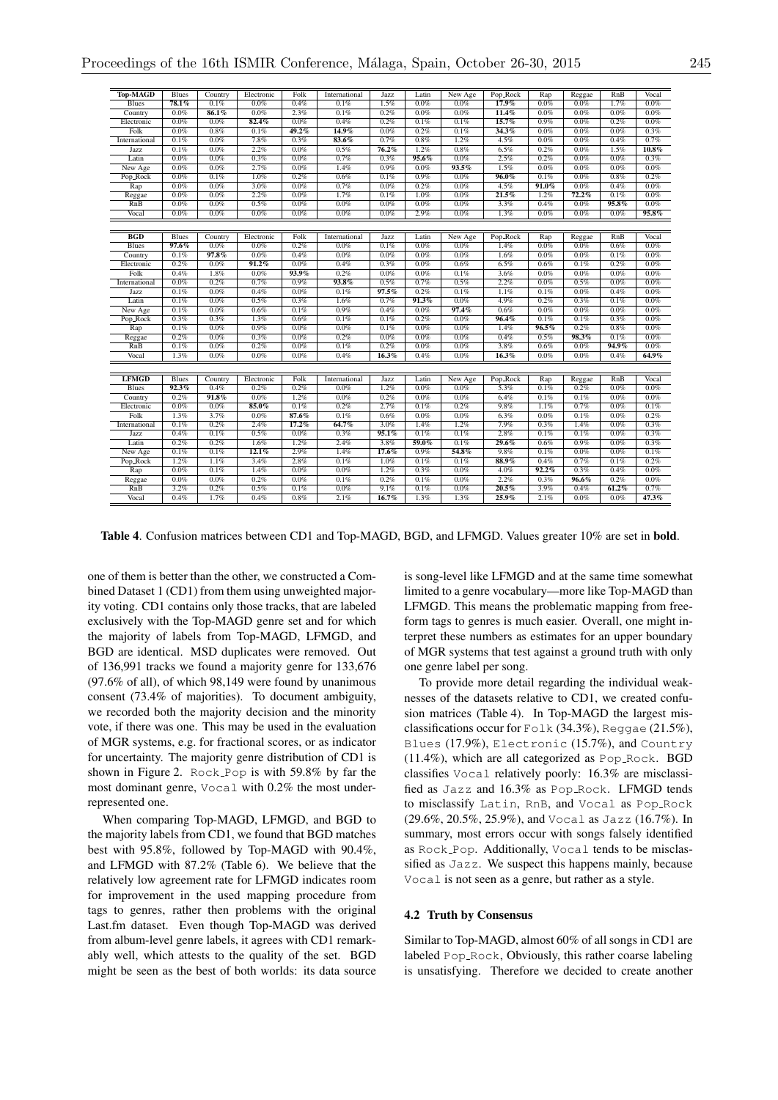| <b>Top-MAGD</b> | Blues        | Country | Electronic | Folk  | International | Jazz     | Latin | New Age | Pop_Rock | Rap      | Reggae  | RnB   | Vocal    |
|-----------------|--------------|---------|------------|-------|---------------|----------|-------|---------|----------|----------|---------|-------|----------|
| <b>Blues</b>    | 78.1%        | 0.1%    | 0.0%       | 0.4%  | 0.1%          | 1.5%     | 0.0%  | 0.0%    | 17.9%    | 0.0%     | 0.0%    | 1.7%  | 0.0%     |
| Country         | $0.0\%$      | 86.1%   | 0.0%       | 2.3%  | 0.1%          | 0.2%     | 0.0%  | 0.0%    | 11.4%    | 0.0%     | 0.0%    | 0.0%  | 0.0%     |
| Electronic      | $0.0\%$      | 0.0%    | 82.4%      | 0.0%  | 0.4%          | 0.2%     | 0.1%  | 0.1%    | 15.7%    | 0.9%     | 0.0%    | 0.2%  | 0.0%     |
| Folk            | 0.0%         | 0.8%    | 0.1%       | 49.2% | 14.9%         | 0.0%     | 0.2%  | 0.1%    | 34.3%    | 0.0%     | $0.0\%$ | 0.0%  | 0.3%     |
| International   | 0.1%         | 0.0%    | 7.8%       | 0.3%  | 83.6%         | 0.7%     | 0.8%  | 1.2%    | 4.5%     | 0.0%     | 0.0%    | 0.4%  | 0.7%     |
| Jazz            | 0.1%         | 0.0%    | 2.2%       | 0.0%  | 0.5%          | $76.2\%$ | 1.2%  | 0.8%    | 6.5%     | 0.2%     | 0.0%    | 1.5%  | $10.8\%$ |
| Latin           | 0.0%         | 0.0%    | 0.3%       | 0.0%  | 0.7%          | 0.3%     | 95.6% | 0.0%    | 2.5%     | 0.2%     | 0.0%    | 0.0%  | 0.3%     |
| New Age         | 0.0%         | 0.0%    | 2.7%       | 0.0%  | 1.4%          | 0.9%     | 0.0%  | 93.5%   | 1.5%     | 0.0%     | 0.0%    | 0.0%  | 0.0%     |
| Pop_Rock        | 0.0%         | 0.1%    | 1.0%       | 0.2%  | 0.6%          | 0.1%     | 0.9%  | 0.0%    | $96.0\%$ | 0.1%     | 0.0%    | 0.8%  | 0.2%     |
| Rap             | 0.0%         | 0.0%    | 3.0%       | 0.0%  | 0.7%          | 0.0%     | 0.2%  | 0.0%    | 4.5%     | $91.0\%$ | 0.0%    | 0.4%  | 0.0%     |
| Reggae          | 0.0%         | 0.0%    | 2.2%       | 0.0%  | 1.7%          | 0.1%     | 1.0%  | 0.0%    | 21.5%    | 1.2%     | 72.2%   | 0.1%  | 0.0%     |
| RnB             | 0.0%         | 0.0%    | 0.5%       | 0.0%  | 0.0%          | 0.0%     | 0.0%  | 0.0%    | 3.3%     | 0.4%     | 0.0%    | 95.8% | 0.0%     |
| Vocal           | 0.0%         | 0.0%    | 0.0%       | 0.0%  | 0.0%          | 0.0%     | 2.9%  | 0.0%    | 1.3%     | 0.0%     | 0.0%    | 0.0%  | 95.8%    |
|                 |              |         |            |       |               |          |       |         |          |          |         |       |          |
| BGD             | Blues        | Country | Electronic | Folk  | International | Jazz     | Latin | New Age | Pop_Rock | Rap      | Reggae  | RnB   | Vocal    |
| <b>Blues</b>    | 97.6%        | 0.0%    | 0.0%       | 0.2%  | 0.0%          | 0.1%     | 0.0%  | 0.0%    | 1.4%     | 0.0%     | 0.0%    | 0.6%  | 0.0%     |
| Country         | 0.1%         | 97.8%   | 0.0%       | 0.4%  | 0.0%          | 0.0%     | 0.0%  | 0.0%    | 1.6%     | 0.0%     | 0.0%    | 0.1%  | 0.0%     |
| Electronic      | 0.2%         | 0.0%    | $91.2\%$   | 0.0%  | 0.4%          | 0.3%     | 0.0%  | 0.6%    | 6.5%     | 0.6%     | 0.1%    | 0.2%  | 0.0%     |
| Folk            | 0.4%         | 1.8%    | 0.0%       | 93.9% | 0.2%          | 0.0%     | 0.0%  | 0.1%    | 3.6%     | 0.0%     | 0.0%    | 0.0%  | 0.0%     |
| International   | 0.0%         | 0.2%    | 0.7%       | 0.9%  | 93.8%         | 0.5%     | 0.7%  | 0.5%    | 2.2%     | $0.0\%$  | 0.5%    | 0.0%  | 0.0%     |
| Jazz            | 0.1%         | 0.0%    | 0.4%       | 0.0%  | 0.1%          | 97.5%    | 0.2%  | 0.1%    | 1.1%     | 0.1%     | 0.0%    | 0.4%  | 0.0%     |
| Latin           | 0.1%         | 0.0%    | 0.5%       | 0.3%  | 1.6%          | 0.7%     | 91.3% | 0.0%    | 4.9%     | 0.2%     | 0.3%    | 0.1%  | 0.0%     |
| New Age         | 0.1%         | 0.0%    | 0.6%       | 0.1%  | 0.9%          | 0.4%     | 0.0%  | 97.4%   | 0.6%     | 0.0%     | 0.0%    | 0.0%  | 0.0%     |
| Pop_Rock        | 0.3%         | 0.3%    | 1.3%       | 0.6%  | 0.1%          | 0.1%     | 0.2%  | 0.0%    | 96.4%    | 0.1%     | 0.1%    | 0.3%  | 0.0%     |
| Rap             | 0.1%         | 0.0%    | 0.9%       | 0.0%  | 0.0%          | 0.1%     | 0.0%  | 0.0%    | 1.4%     | 96.5%    | 0.2%    | 0.8%  | 0.0%     |
| Reggae          | 0.2%         | 0.0%    | 0.3%       | 0.0%  | 0.2%          | 0.0%     | 0.0%  | 0.0%    | 0.4%     | 0.5%     | 98.3%   | 0.1%  | 0.0%     |
| RnB             | 0.1%         | 0.0%    | 0.2%       | 0.0%  | 0.1%          | 0.2%     | 0.0%  | 0.0%    | 3.8%     | 0.6%     | 0.0%    | 94.9% | 0.0%     |
| Vocal           | 1.3%         | 0.0%    | 0.0%       | 0.0%  | 0.4%          | 16.3%    | 0.4%  | 0.0%    | 16.3%    | 0.0%     | 0.0%    | 0.4%  | 64.9%    |
|                 |              |         |            |       |               |          |       |         |          |          |         |       |          |
|                 |              |         |            |       |               |          |       |         |          |          |         |       |          |
| <b>LFMGD</b>    | <b>Blues</b> | Country | Electronic | Folk  | International | Jazz     | Latin | New Age | Pop_Rock | Rap      | Reggae  | RnB   | Vocal    |
| <b>Blues</b>    | 92.3%        | 0.4%    | 0.2%       | 0.2%  | 0.0%          | 1.2%     | 0.0%  | 0.0%    | 5.3%     | 0.1%     | 0.2%    | 0.0%  | 0.0%     |
| Country         | 0.2%         | 91.8%   | 0.0%       | 1.2%  | 0.0%          | 0.2%     | 0.0%  | 0.0%    | 6.4%     | 0.1%     | 0.1%    | 0.0%  | 0.0%     |
| Electronic      | 0.0%         | 0.0%    | 85.0%      | 0.1%  | 0.2%          | 2.7%     | 0.1%  | 0.2%    | 9.8%     | 1.1%     | 0.7%    | 0.0%  | 0.1%     |
| Folk            | 1.3%         | 3.7%    | 0.0%       | 87.6% | 0.1%          | 0.6%     | 0.0%  | 0.0%    | 6.3%     | 0.0%     | 0.1%    | 0.0%  | 0.2%     |
| International   | 0.1%         | 0.2%    | 2.4%       | 17.2% | 64.7%         | 3.0%     | 1.4%  | 1.2%    | 7.9%     | 0.3%     | 1.4%    | 0.0%  | 0.3%     |
| Jazz            | 0.4%         | 0.1%    | 0.5%       | 0.0%  | 0.3%          | 95.1%    | 0.1%  | 0.1%    | 2.8%     | 0.1%     | 0.1%    | 0.0%  | 0.3%     |
| Latin           | 0.2%         | 0.2%    | 1.6%       | 1.2%  | 2.4%          | 3.8%     | 59.0% | 0.1%    | 29.6%    | 0.6%     | 0.9%    | 0.0%  | 0.3%     |
| New Age         | 0.1%         | 0.1%    | 12.1%      | 2.9%  | 1.4%          | $17.6\%$ | 0.9%  | 54.8%   | 9.8%     | 0.1%     | 0.0%    | 0.0%  | 0.1%     |
| Pop_Rock        | 1.2%         | 1.1%    | 3.4%       | 2.8%  | 0.1%          | 1.0%     | 0.1%  | 0.1%    | 88.9%    | 0.4%     | 0.7%    | 0.1%  | 0.2%     |
| Rap             | 0.0%         | 0.1%    | 1.4%       | 0.0%  | 0.0%          | 1.2%     | 0.3%  | 0.0%    | 4.0%     | 92.2%    | 0.3%    | 0.4%  | 0.0%     |
| Reggae          | 0.0%         | 0.0%    | 0.2%       | 0.0%  | 0.1%          | 0.2%     | 0.1%  | 0.0%    | 2.2%     | 0.3%     | 96.6%   | 0.2%  | 0.0%     |
| RnB             | 3.2%         | 0.2%    | 0.5%       | 0.1%  | 0.0%          | 9.1%     | 0.1%  | 0.0%    | 20.5%    | 3.9%     | 0.4%    | 61.2% | 0.7%     |
| Vocal           | 0.4%         | 1.7%    | 0.4%       | 0.8%  | 2.1%          | 16.7%    | 1.3%  | 1.3%    | 25.9%    | 2.1%     | $0.0\%$ | 0.0%  | 47.3%    |

Table 4. Confusion matrices between CD1 and Top-MAGD, BGD, and LFMGD. Values greater 10% are set in bold.

one of them is better than the other, we constructed a Combined Dataset 1 (CD1) from them using unweighted majority voting. CD1 contains only those tracks, that are labeled exclusively with the Top-MAGD genre set and for which the majority of labels from Top-MAGD, LFMGD, and BGD are identical. MSD duplicates were removed. Out of 136,991 tracks we found a majority genre for 133,676 (97.6% of all), of which 98,149 were found by unanimous consent (73.4% of majorities). To document ambiguity, we recorded both the majority decision and the minority vote, if there was one. This may be used in the evaluation of MGR systems, e.g. for fractional scores, or as indicator for uncertainty. The majority genre distribution of CD1 is shown in Figure 2. Rock Pop is with 59.8% by far the most dominant genre, Vocal with 0.2% the most underrepresented one.

When comparing Top-MAGD, LFMGD, and BGD to the majority labels from CD1, we found that BGD matches best with 95.8%, followed by Top-MAGD with 90.4%, and LFMGD with 87.2% (Table 6). We believe that the relatively low agreement rate for LFMGD indicates room for improvement in the used mapping procedure from tags to genres, rather then problems with the original Last.fm dataset. Even though Top-MAGD was derived from album-level genre labels, it agrees with CD1 remarkably well, which attests to the quality of the set. BGD might be seen as the best of both worlds: its data source is song-level like LFMGD and at the same time somewhat limited to a genre vocabulary—more like Top-MAGD than LFMGD. This means the problematic mapping from freeform tags to genres is much easier. Overall, one might interpret these numbers as estimates for an upper boundary of MGR systems that test against a ground truth with only one genre label per song.

To provide more detail regarding the individual weaknesses of the datasets relative to CD1, we created confusion matrices (Table 4). In Top-MAGD the largest misclassifications occur for Folk (34.3%), Reggae (21.5%), Blues (17.9%), Electronic (15.7%), and Country (11.4%), which are all categorized as Pop Rock. BGD classifies Vocal relatively poorly: 16.3% are misclassified as Jazz and 16.3% as Pop Rock. LFMGD tends to misclassify Latin, RnB, and Vocal as Pop Rock (29.6%, 20.5%, 25.9%), and Vocal as Jazz (16.7%). In summary, most errors occur with songs falsely identified as Rock Pop. Additionally, Vocal tends to be misclassified as Jazz. We suspect this happens mainly, because Vocal is not seen as a genre, but rather as a style.

#### 4.2 Truth by Consensus

Similar to Top-MAGD, almost 60% of all songs in CD1 are labeled Pop\_Rock, Obviously, this rather coarse labeling is unsatisfying. Therefore we decided to create another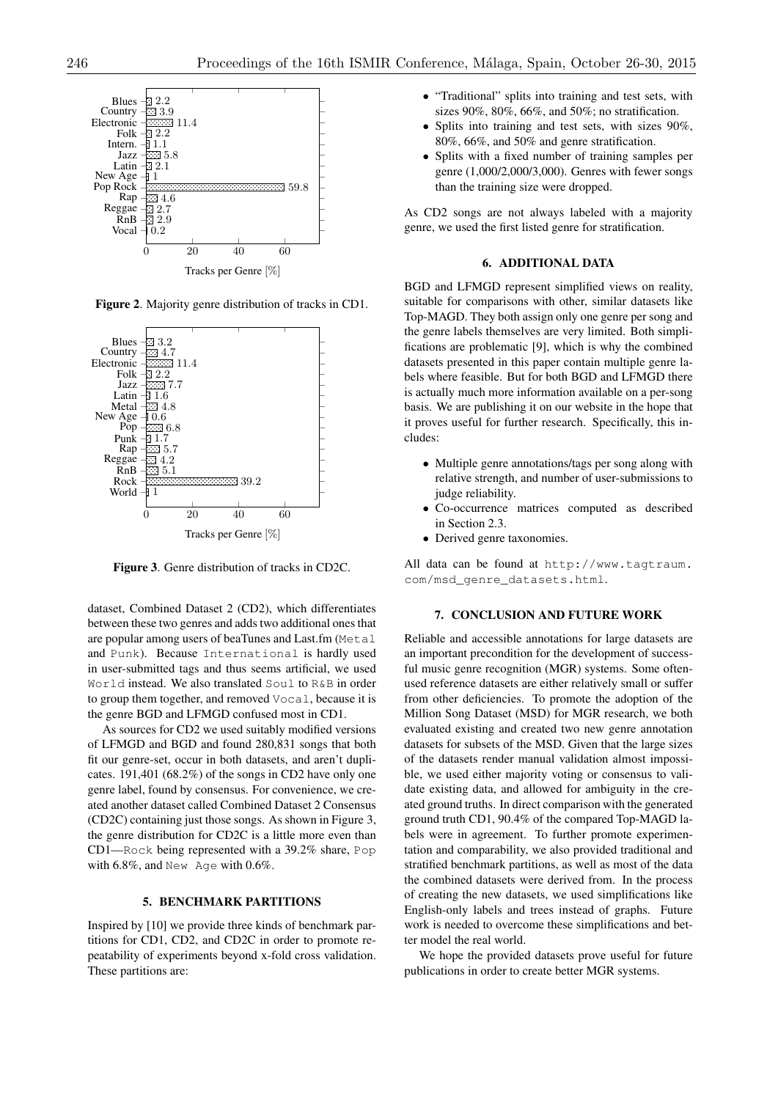

Figure 2. Majority genre distribution of tracks in CD1.



Figure 3. Genre distribution of tracks in CD2C.

dataset, Combined Dataset 2 (CD2), which differentiates between these two genres and adds two additional ones that are popular among users of beaTunes and Last.fm (Metal and Punk). Because International is hardly used in user-submitted tags and thus seems artificial, we used World instead. We also translated Soul to R&B in order to group them together, and removed Vocal, because it is the genre BGD and LFMGD confused most in CD1.

As sources for CD2 we used suitably modified versions of LFMGD and BGD and found 280,831 songs that both fit our genre-set, occur in both datasets, and aren't duplicates. 191,401 (68.2%) of the songs in CD2 have only one genre label, found by consensus. For convenience, we created another dataset called Combined Dataset 2 Consensus (CD2C) containing just those songs. As shown in Figure 3, the genre distribution for CD2C is a little more even than CD1—Rock being represented with a 39.2% share, Pop with 6.8%, and New Age with 0.6%.

## 5. BENCHMARK PARTITIONS

Inspired by [10] we provide three kinds of benchmark partitions for CD1, CD2, and CD2C in order to promote repeatability of experiments beyond x-fold cross validation. These partitions are:

- *•* "Traditional" splits into training and test sets, with sizes 90%, 80%, 66%, and 50%; no stratification.
- Splits into training and test sets, with sizes 90%, 80%, 66%, and 50% and genre stratification.
- *•* Splits with a fixed number of training samples per genre (1,000/2,000/3,000). Genres with fewer songs than the training size were dropped.

As CD2 songs are not always labeled with a majority genre, we used the first listed genre for stratification.

#### 6. ADDITIONAL DATA

BGD and LFMGD represent simplified views on reality, suitable for comparisons with other, similar datasets like Top-MAGD. They both assign only one genre per song and the genre labels themselves are very limited. Both simplifications are problematic [9], which is why the combined datasets presented in this paper contain multiple genre labels where feasible. But for both BGD and LFMGD there is actually much more information available on a per-song basis. We are publishing it on our website in the hope that it proves useful for further research. Specifically, this includes:

- *•* Multiple genre annotations/tags per song along with relative strength, and number of user-submissions to judge reliability.
- *•* Co-occurrence matrices computed as described in Section 2.3.
- *•* Derived genre taxonomies.

All data can be found at http://www.tagtraum. com/msd\_genre\_datasets.html.

### 7. CONCLUSION AND FUTURE WORK

Reliable and accessible annotations for large datasets are an important precondition for the development of successful music genre recognition (MGR) systems. Some oftenused reference datasets are either relatively small or suffer from other deficiencies. To promote the adoption of the Million Song Dataset (MSD) for MGR research, we both evaluated existing and created two new genre annotation datasets for subsets of the MSD. Given that the large sizes of the datasets render manual validation almost impossible, we used either majority voting or consensus to validate existing data, and allowed for ambiguity in the created ground truths. In direct comparison with the generated ground truth CD1, 90.4% of the compared Top-MAGD labels were in agreement. To further promote experimentation and comparability, we also provided traditional and stratified benchmark partitions, as well as most of the data the combined datasets were derived from. In the process of creating the new datasets, we used simplifications like English-only labels and trees instead of graphs. Future work is needed to overcome these simplifications and better model the real world.

We hope the provided datasets prove useful for future publications in order to create better MGR systems.